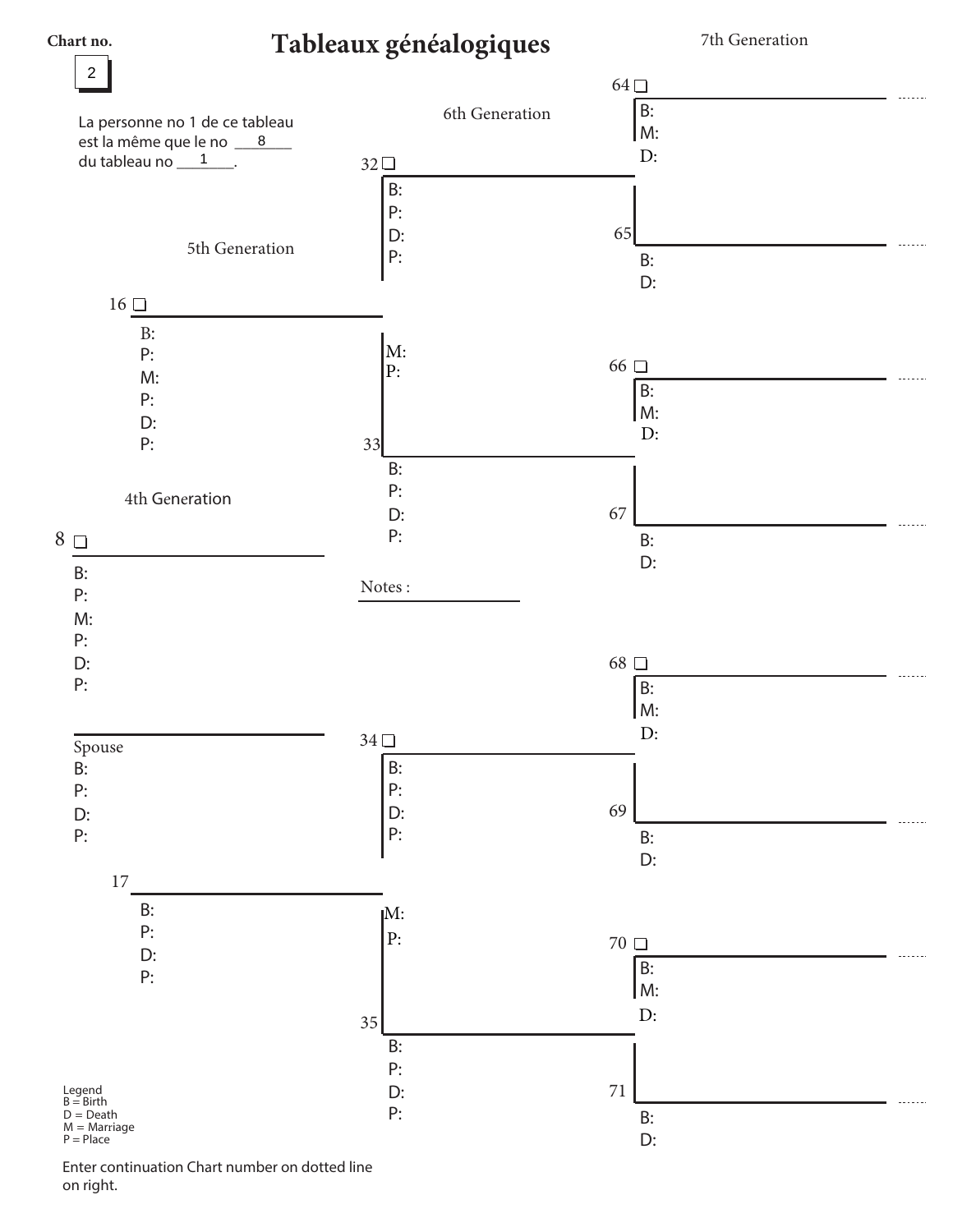$\overline{c}$ 

 $\boldsymbol{8}$  $\overline{1}$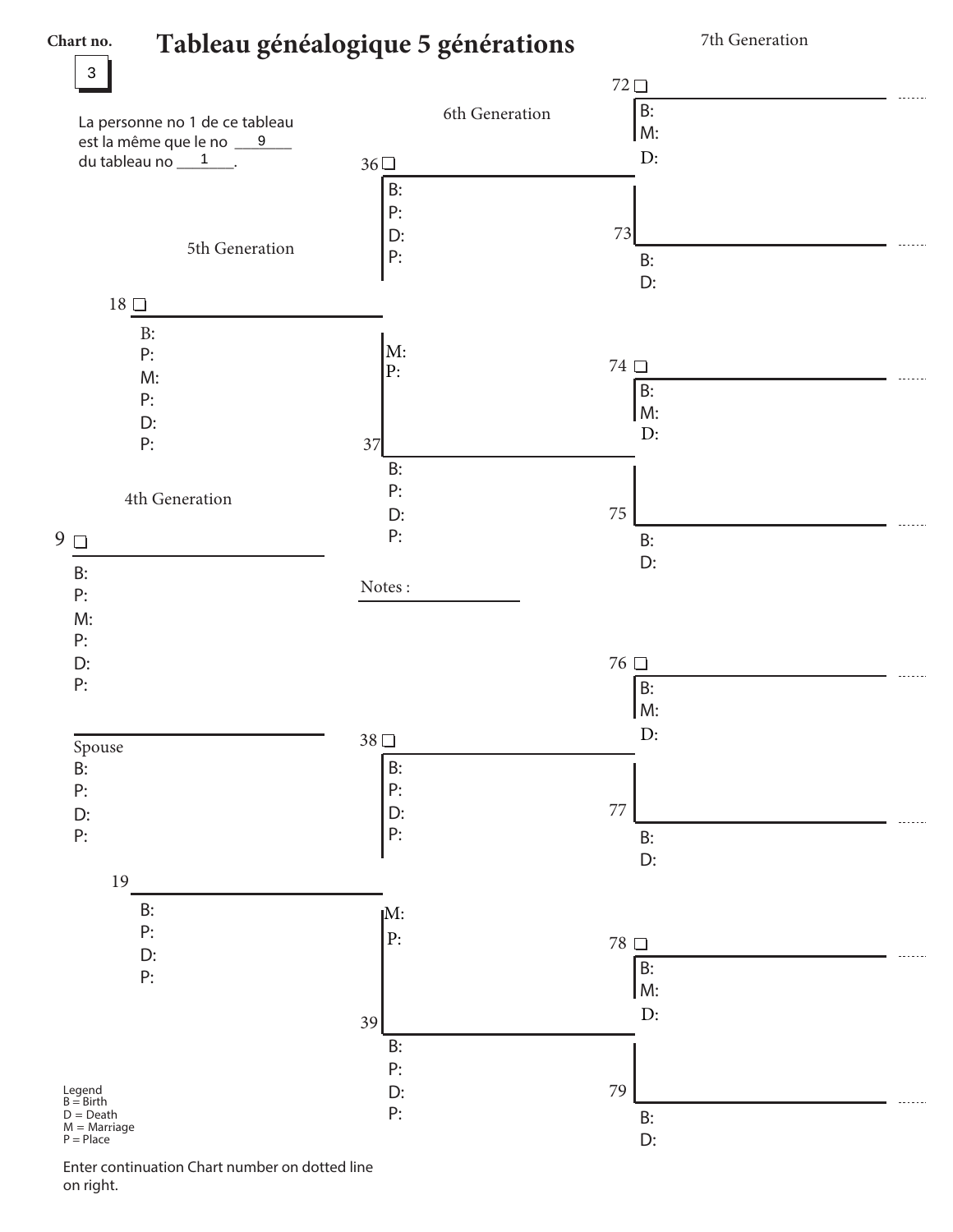$\overline{3}$ 

 $\overline{9}$  $\overline{1}$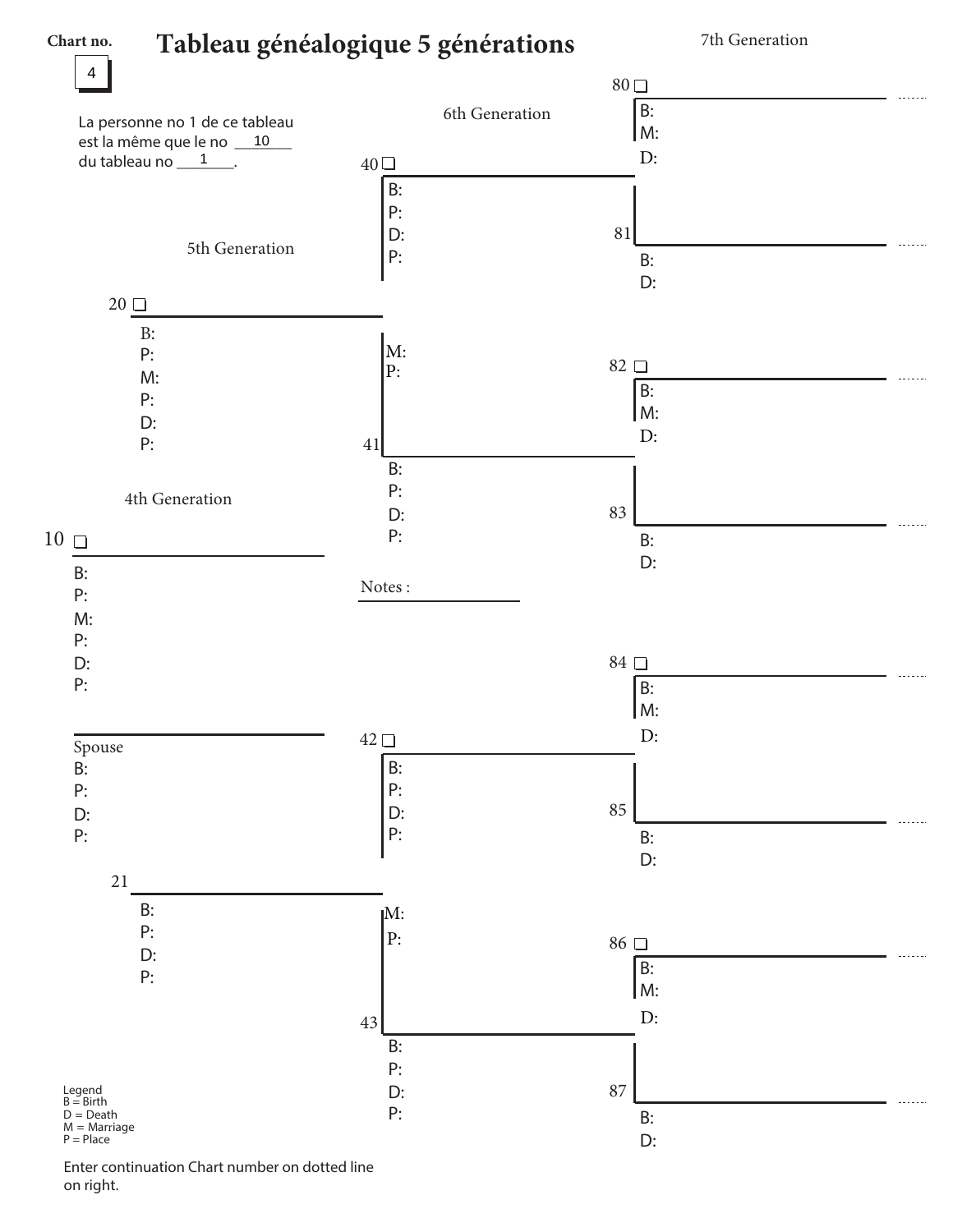$10$  $\overline{1}$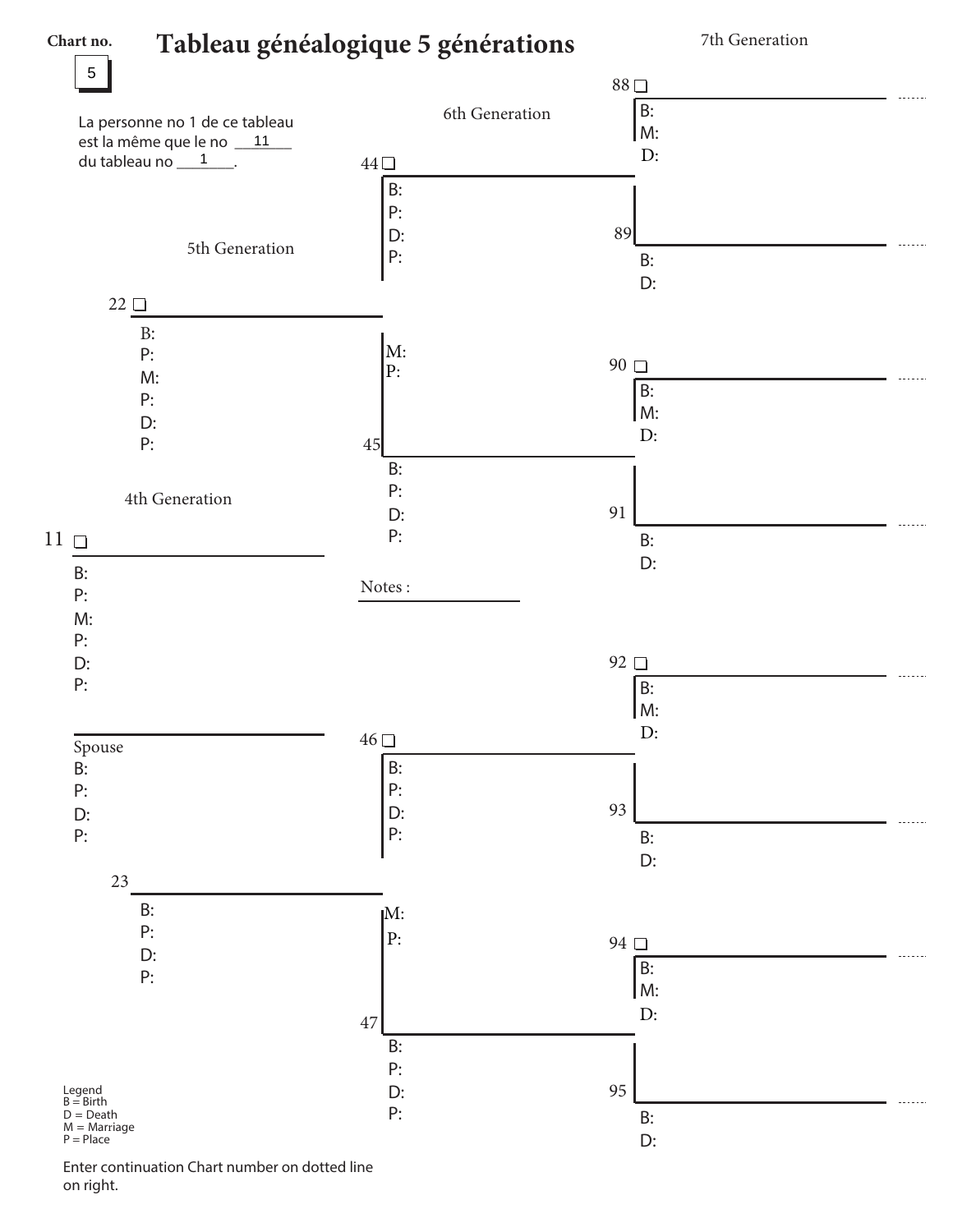$\overline{5}$ 

 $11$  $\overline{1}$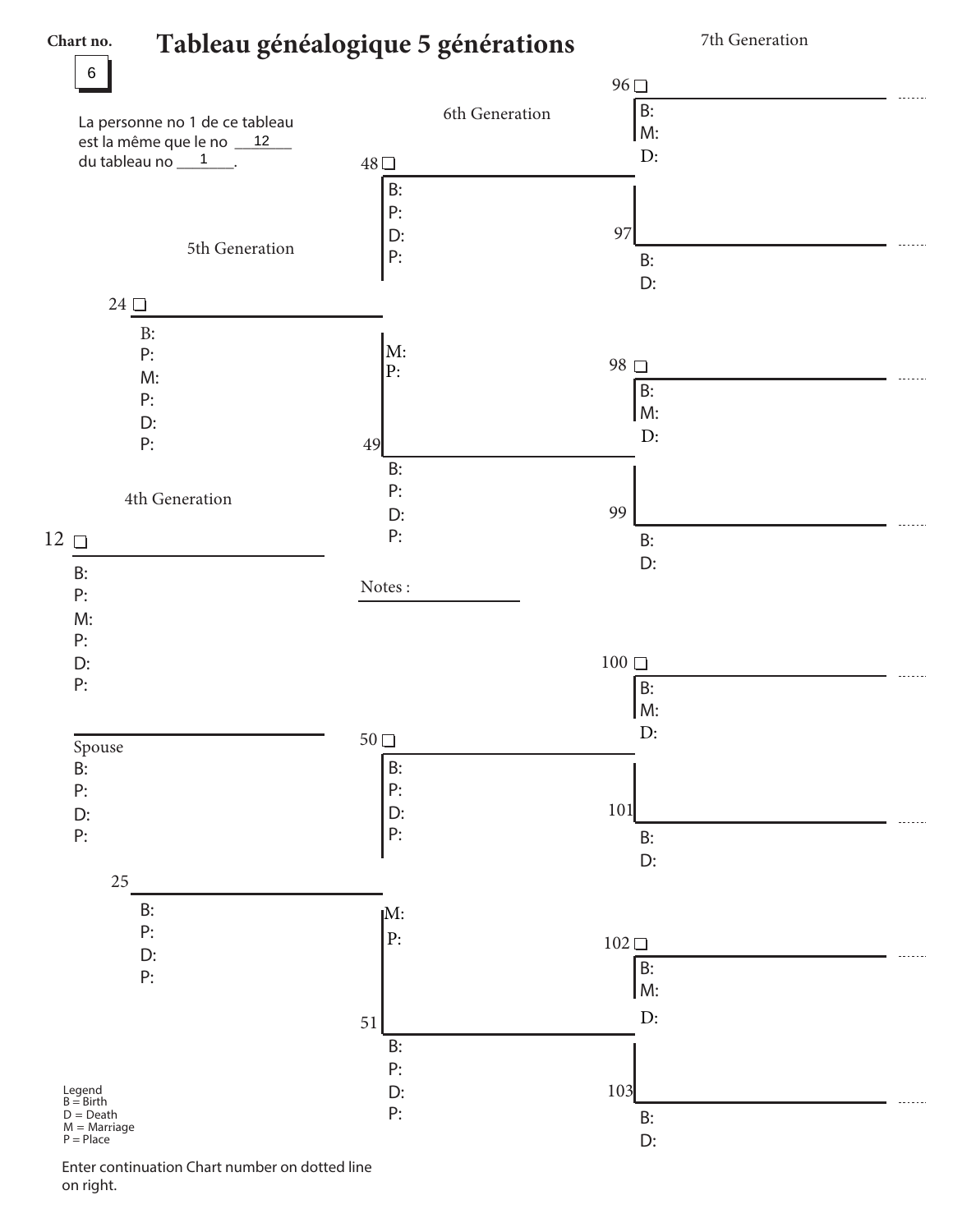$12$  $\overline{1}$ 

 $\boldsymbol{6}$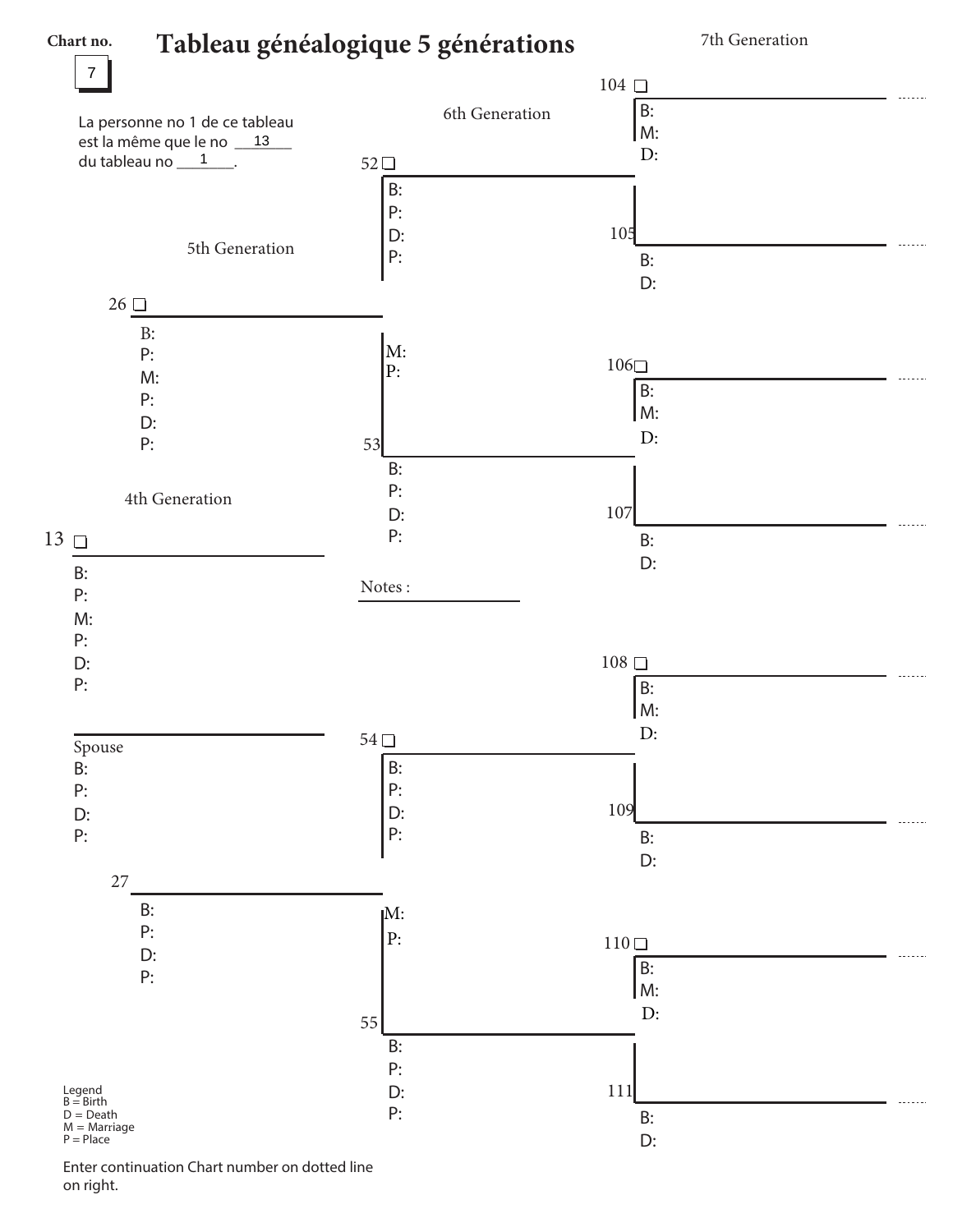## Tableau généalogi ue 5 générations

Chart no.

7th Generation



Enter ontinuation Chart number on dotted line on right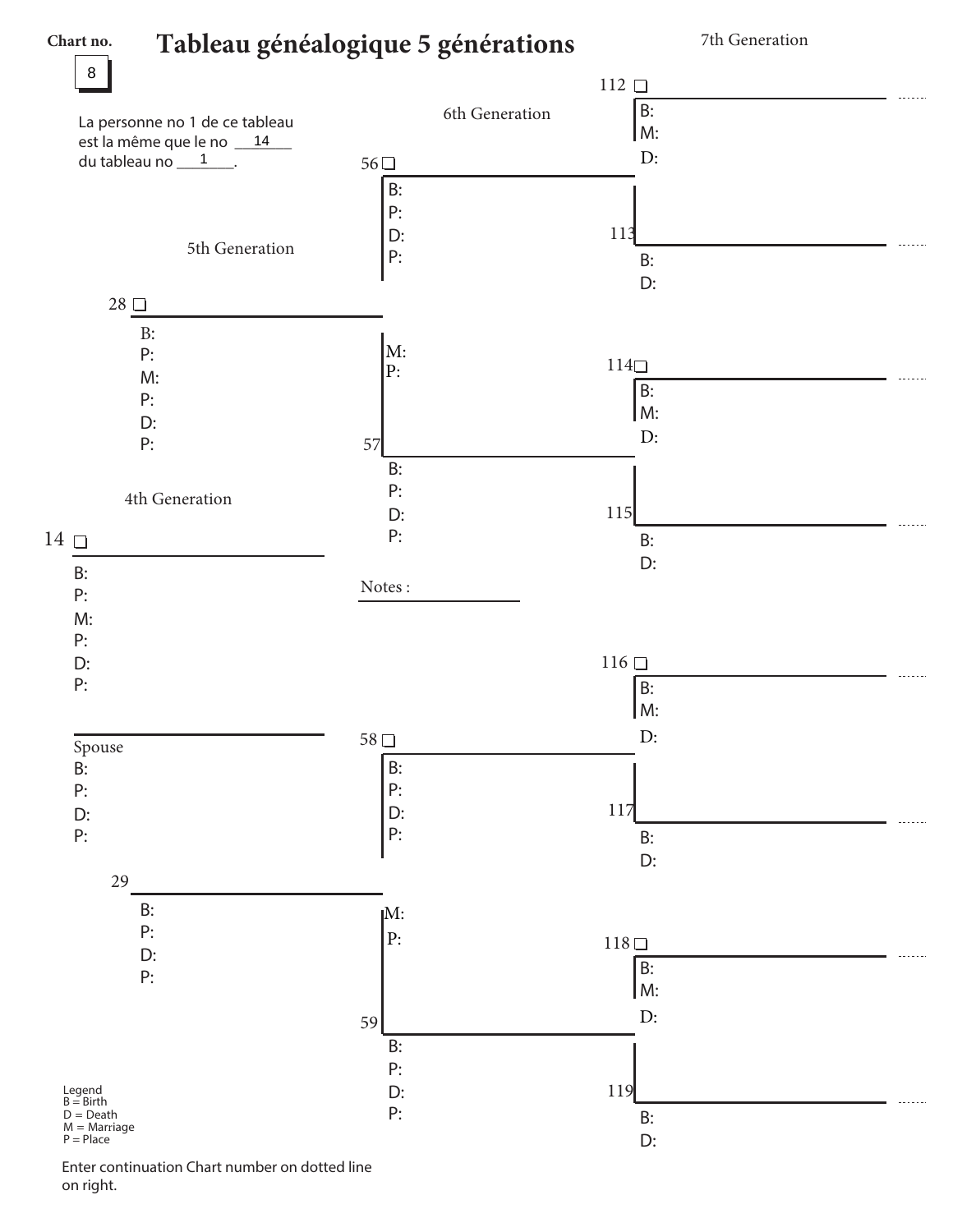## **Tableau généalogique 5 générations**

**Chart no.**

7th Generation



Enter continuation Chart number on dotted line on right.